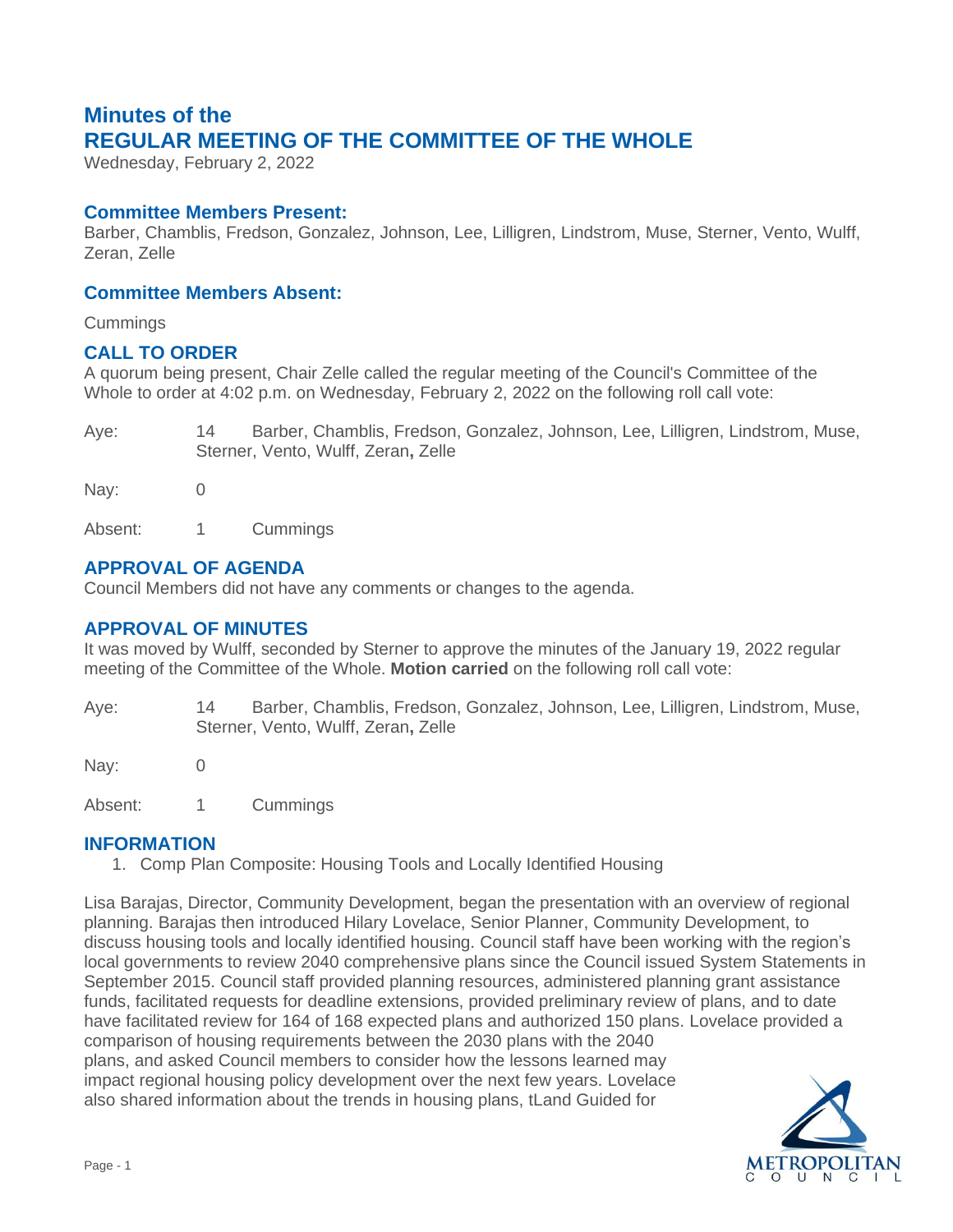# **Minutes of the REGULAR MEETING OF THE COMMITTEE OF THE WHOLE**

Wednesday, February 2, 2022

## **Committee Members Present:**

Barber, Chamblis, Fredson, Gonzalez, Johnson, Lee, Lilligren, Lindstrom, Muse, Sterner, Vento, Wulff, Zeran, Zelle

## **Committee Members Absent:**

**Cummings** 

## **CALL TO ORDER**

A quorum being present, Chair Zelle called the regular meeting of the Council's Committee of the Whole to order at 4:02 p.m. on Wednesday, February 2, 2022 on the following roll call vote:

Aye: 14 Barber, Chamblis, Fredson, Gonzalez, Johnson, Lee, Lilligren, Lindstrom, Muse, Sterner, Vento, Wulff, Zeran**,** Zelle

Nay: 0

Absent: 1 Cummings

# **APPROVAL OF AGENDA**

Council Members did not have any comments or changes to the agenda.

# **APPROVAL OF MINUTES**

It was moved by Wulff, seconded by Sterner to approve the minutes of the January 19, 2022 regular meeting of the Committee of the Whole. **Motion carried** on the following roll call vote:

Aye: 14 Barber, Chamblis, Fredson, Gonzalez, Johnson, Lee, Lilligren, Lindstrom, Muse, Sterner, Vento, Wulff, Zeran**,** Zelle

Nav: 0

Absent: 1 Cummings

#### **INFORMATION**

1. Comp Plan Composite: Housing Tools and Locally Identified Housing

Lisa Barajas, Director, Community Development, began the presentation with an overview of regional planning. Barajas then introduced Hilary Lovelace, Senior Planner, Community Development, to discuss housing tools and locally identified housing. Council staff have been working with the region's local governments to review 2040 comprehensive plans since the Council issued System Statements in September 2015. Council staff provided planning resources, administered planning grant assistance funds, facilitated requests for deadline extensions, provided preliminary review of plans, and to date have facilitated review for 164 of 168 expected plans and authorized 150 plans. Lovelace provided a comparison of housing requirements between the 2030 plans with the 2040 plans, and asked Council members to consider how the lessons learned may impact regional housing policy development over the next few years. Lovelace also shared information about the trends in housing plans, tLand Guided for